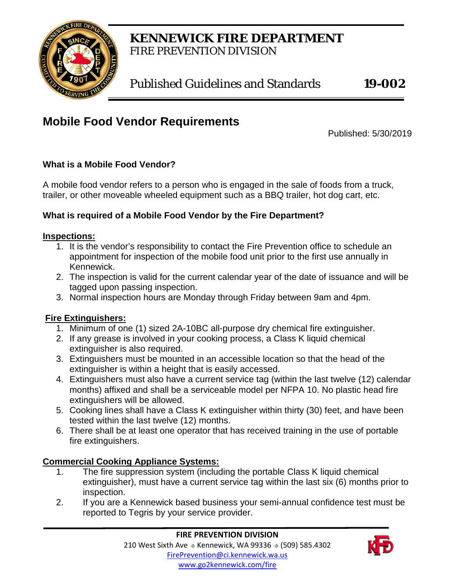

# **KENNEWICK FIRE DEPARTMENT** FIRE PREVENTION DIVISION

Published Guidelines and Standards **19-002**

# **Mobile Food Vendor Requirements**

Published: 5/30/2019

#### **What is a Mobile Food Vendor?**

A mobile food vendor refers to a person who is engaged in the sale of foods from a truck, trailer, or other moveable wheeled equipment such as a BBQ trailer, hot dog cart, etc.

#### **What is required of a Mobile Food Vendor by the Fire Department?**

#### **Inspections:**

- 1. It is the vendor's responsibility to contact the Fire Prevention office to schedule an appointment for inspection of the mobile food unit prior to the first use annually in Kennewick.
- 2. The inspection is valid for the current calendar year of the date of issuance and will be tagged upon passing inspection.
- 3. Normal inspection hours are Monday through Friday between 9am and 4pm.

#### **Fire Extinguishers:**

- 1. Minimum of one (1) sized 2A-10BC all-purpose dry chemical fire extinguisher.
- 2. If any grease is involved in your cooking process, a Class K liquid chemical extinguisher is also required.
- 3. Extinguishers must be mounted in an accessible location so that the head of the extinguisher is within a height that is easily accessed.
- 4. Extinguishers must also have a current service tag (within the last twelve (12) calendar months) affixed and shall be a serviceable model per NFPA 10. No plastic head fire extinguishers will be allowed.
- 5. Cooking lines shall have a Class K extinguisher within thirty (30) feet, and have been tested within the last twelve (12) months.
- 6. There shall be at least one operator that has received training in the use of portable fire extinguishers.

#### **Commercial Cooking Appliance Systems:**

- 1. The fire suppression system (including the portable Class K liquid chemical extinguisher), must have a current service tag within the last six (6) months prior to inspection.
- 2. If you are a Kennewick based business your semi-annual confidence test must be reported to Tegris by your service provider.